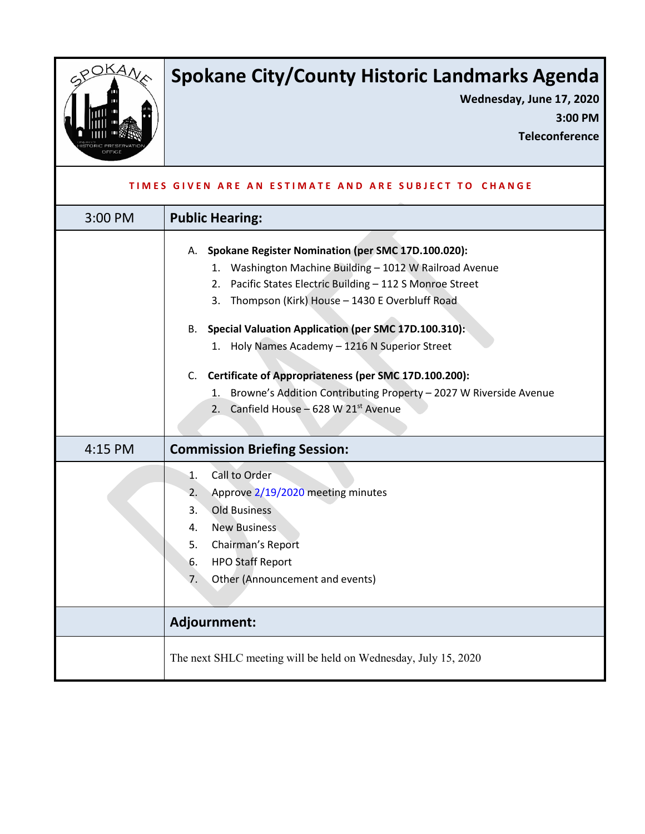

## **Spokane City/County Historic Landmarks Agenda**

**Wednesday, June 17, 2020 3:00 PM**

**Teleconference**

| TIMES GIVEN ARE AN ESTIMATE AND ARE SUBJECT TO CHANGE |                                                                                                                                                                                                                                                                                                                                                                                                                                                                                                                                      |
|-------------------------------------------------------|--------------------------------------------------------------------------------------------------------------------------------------------------------------------------------------------------------------------------------------------------------------------------------------------------------------------------------------------------------------------------------------------------------------------------------------------------------------------------------------------------------------------------------------|
| 3:00 PM                                               | <b>Public Hearing:</b>                                                                                                                                                                                                                                                                                                                                                                                                                                                                                                               |
|                                                       | A. Spokane Register Nomination (per SMC 17D.100.020):<br>1. Washington Machine Building - 1012 W Railroad Avenue<br>Pacific States Electric Building - 112 S Monroe Street<br>2.<br>3. Thompson (Kirk) House - 1430 E Overbluff Road<br>B. Special Valuation Application (per SMC 17D.100.310):<br>1. Holy Names Academy - 1216 N Superior Street<br>Certificate of Appropriateness (per SMC 17D.100.200):<br>C.<br>Browne's Addition Contributing Property - 2027 W Riverside Avenue<br>1.<br>2. Canfield House - 628 W 21st Avenue |
| 4:15 PM                                               | <b>Commission Briefing Session:</b>                                                                                                                                                                                                                                                                                                                                                                                                                                                                                                  |
|                                                       | Call to Order<br>1.<br>Approve 2/19/2020 meeting minutes<br>2.<br><b>Old Business</b><br>3.<br><b>New Business</b><br>4.<br>5.<br>Chairman's Report<br><b>HPO Staff Report</b><br>6.<br>Other (Announcement and events)<br>7.                                                                                                                                                                                                                                                                                                        |
|                                                       | Adjournment:                                                                                                                                                                                                                                                                                                                                                                                                                                                                                                                         |
|                                                       | The next SHLC meeting will be held on Wednesday, July 15, 2020                                                                                                                                                                                                                                                                                                                                                                                                                                                                       |